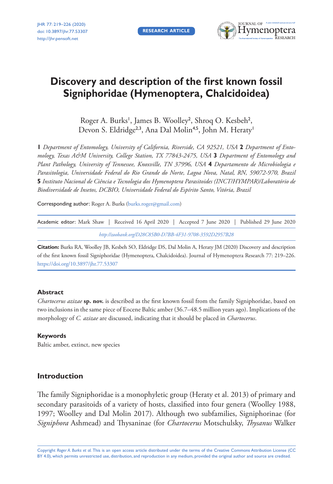**RESEARCH ARTICLE**



# **Discovery and description of the first known fossil Signiphoridae (Hymenoptera, Chalcidoidea)**

Roger A. Burks<sup>1</sup>, James B. Woolley<sup>2</sup>, Shroq O. Kesbeh<sup>2</sup>, Devon S. Eldridge<sup>2,3</sup>, Ana Dal Molin<sup>4,5</sup>, John M. Heraty<sup>1</sup>

**1** *Department of Entomology, University of California, Riverside, CA 92521, USA* **2** *Department of Entomology, Texas A&M University, College Station, TX 77843-2475, USA* **3** *Department of Entomology and Plant Pathology, University of Tennessee, Knoxville, TN 37996, USA* **4** *Departamento de Microbiologia e Parasitologia, Universidade Federal do Rio Grande do Norte, Lagoa Nova, Natal, RN, 59072-970, Brazil*  **5** *Instituto Nacional de Ciência e Tecnologia dos Hymenoptera Parasitoides (INCT/HYMPAR)/Laboratório de Biodiversidade de Insetos, DCBIO, Universidade Federal do Espírito Santo, Vitória, Brazil*

Corresponding author: Roger A. Burks ([burks.roger@gmail.com\)](mailto:burks.roger@gmail.com)

| Academic editor: Mark Shaw   Received 16 April 2020   Accepted 7 June 2020   Published 29 June 2020 |  |  |  |  |  |
|-----------------------------------------------------------------------------------------------------|--|--|--|--|--|
| http://zoobank.org/D28C85B0-D7BB-4F31-9708-3592D2957B28                                             |  |  |  |  |  |

**Citation:** Burks RA, Woolley JB, Kesbeh SO, Eldridge DS, Dal Molin A, Heraty JM (2020) Discovery and description of the first known fossil Signiphoridae (Hymenoptera, Chalcidoidea). Journal of Hymenoptera Research 77: 219–226. <https://doi.org/10.3897/jhr.77.53307>

## **Abstract**

*Chartocerus azizae* **sp. nov.** is described as the first known fossil from the family Signiphoridae, based on two inclusions in the same piece of Eocene Baltic amber (36.7–48.5 million years ago). Implications of the morphology of *C. azizae* are discussed, indicating that it should be placed in *Chartocerus*.

#### **Keywords**

Baltic amber, extinct, new species

## **Introduction**

The family Signiphoridae is a monophyletic group (Heraty et al. 2013) of primary and secondary parasitoids of a variety of hosts, classified into four genera (Woolley 1988, 1997; Woolley and Dal Molin 2017). Although two subfamilies, Signiphorinae (for *Signiphora* Ashmead) and Thysaninae (for *Chartocerus* Motschulsky, *Thysanus* Walker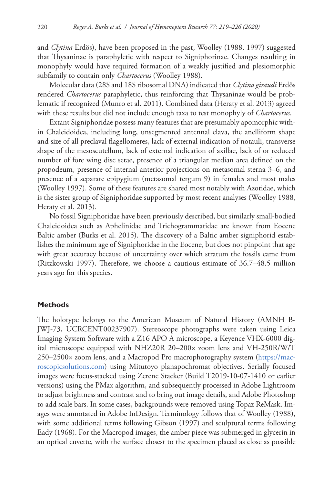and *Clytina* Erdös), have been proposed in the past, Woolley (1988, 1997) suggested that Thysaninae is paraphyletic with respect to Signiphorinae. Changes resulting in monophyly would have required formation of a weakly justified and plesiomorphic subfamily to contain only *Chartocerus* (Woolley 1988).

Molecular data (28S and 18S ribosomal DNA) indicated that *Clytina giraudi* Erdős rendered *Chartocerus* paraphyletic, thus reinforcing that Thysaninae would be problematic if recognized (Munro et al. 2011). Combined data (Heraty et al. 2013) agreed with these results but did not include enough taxa to test monophyly of *Chartocerus*.

Extant Signiphoridae possess many features that are presumably apomorphic within Chalcidoidea, including long, unsegmented antennal clava, the anelliform shape and size of all preclaval flagellomeres, lack of external indication of notauli, transverse shape of the mesoscutellum, lack of external indication of axillae, lack of or reduced number of fore wing disc setae, presence of a triangular median area defined on the propodeum, presence of internal anterior projections on metasomal sterna 3–6, and presence of a separate epipygium (metasomal tergum 9) in females and most males (Woolley 1997). Some of these features are shared most notably with Azotidae, which is the sister group of Signiphoridae supported by most recent analyses (Woolley 1988, Heraty et al. 2013).

No fossil Signiphoridae have been previously described, but similarly small-bodied Chalcidoidea such as Aphelinidae and Trichogrammatidae are known from Eocene Baltic amber (Burks et al. 2015). The discovery of a Baltic amber signiphorid establishes the minimum age of Signiphoridae in the Eocene, but does not pinpoint that age with great accuracy because of uncertainty over which stratum the fossils came from (Ritzkowski 1997). Therefore, we choose a cautious estimate of 36.7–48.5 million years ago for this species.

## **Methods**

The holotype belongs to the American Museum of Natural History (AMNH B-JWJ-73, UCRCENT00237907). Stereoscope photographs were taken using Leica Imaging System Software with a Z16 APO A microscope, a Keyence VHX-6000 digital microscope equipped with NHZ20R 20–200× zoom lens and VH-250R/W/T 250–2500× zoom lens, and a Macropod Pro macrophotography system ([https://mac](https://macroscopicsolutions.com)[roscopicsolutions.com\)](https://macroscopicsolutions.com) using Mitutoyo planapochromat objectives. Serially focused images were focus-stacked using Zerene Stacker (Build T2019-10-07-1410 or earlier versions) using the PMax algorithm, and subsequently processed in Adobe Lightroom to adjust brightness and contrast and to bring out image details, and Adobe Photoshop to add scale bars. In some cases, backgrounds were removed using Topaz ReMask. Images were annotated in Adobe InDesign. Terminology follows that of Woolley (1988), with some additional terms following Gibson (1997) and sculptural terms following Eady (1968). For the Macropod images, the amber piece was submerged in glycerin in an optical cuvette, with the surface closest to the specimen placed as close as possible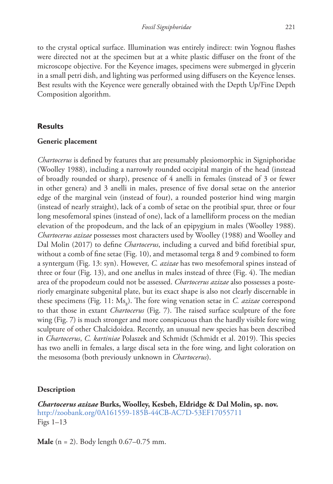to the crystal optical surface. Illumination was entirely indirect: twin Yognou flashes were directed not at the specimen but at a white plastic diffuser on the front of the microscope objective. For the Keyence images, specimens were submerged in glycerin in a small petri dish, and lighting was performed using diffusers on the Keyence lenses. Best results with the Keyence were generally obtained with the Depth Up/Fine Depth Composition algorithm.

## **Results**

#### **Generic placement**

*Chartocerus* is defined by features that are presumably plesiomorphic in Signiphoridae (Woolley 1988), including a narrowly rounded occipital margin of the head (instead of broadly rounded or sharp), presence of 4 anelli in females (instead of 3 or fewer in other genera) and 3 anelli in males, presence of five dorsal setae on the anterior edge of the marginal vein (instead of four), a rounded posterior hind wing margin (instead of nearly straight), lack of a comb of setae on the protibial spur, three or four long mesofemoral spines (instead of one), lack of a lamelliform process on the median elevation of the propodeum, and the lack of an epipygium in males (Woolley 1988). *Chartocerus azizae* possesses most characters used by Woolley (1988) and Woolley and Dal Molin (2017) to define *Chartocerus*, including a curved and bifid foretibial spur, without a comb of fine setae (Fig. 10), and metasomal terga 8 and 9 combined to form a syntergum (Fig. 13: syn). However, *C. azizae* has two mesofemoral spines instead of three or four (Fig. 13), and one anellus in males instead of three (Fig. 4). The median area of the propodeum could not be assessed. *Chartocerus azizae* also possesses a posteriorly emarginate subgenital plate, but its exact shape is also not clearly discernable in these specimens (Fig. 11: Ms<sub>8</sub>). The fore wing venation setae in *C. azizae* correspond to that those in extant *Chartocerus* (Fig. 7). The raised surface sculpture of the fore wing (Fig. 7) is much stronger and more conspicuous than the hardly visible fore wing sculpture of other Chalcidoidea. Recently, an unusual new species has been described in *Chartocerus*, *C. kartiniae* Polaszek and Schmidt (Schmidt et al. 2019). This species has two anelli in females, a large discal seta in the fore wing, and light coloration on the mesosoma (both previously unknown in *Chartocerus*).

## **Description**

*Chartocerus azizae* **Burks, Woolley, Kesbeh, Eldridge & Dal Molin, sp. nov.** <http://zoobank.org/0A161559-185B-44CB-AC7D-53EF17055711> Figs 1–13

**Male** (n = 2). Body length 0.67–0.75 mm.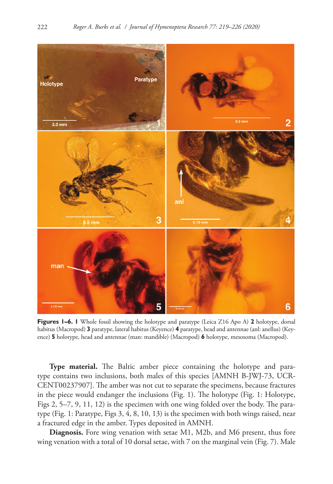

**Figures 1–6. 1** Whole fossil showing the holotype and paratype (Leica Z16 Apo A) **2** holotype, dorsal habitus (Macropod) **3** paratype, lateral habitus (Keyence) **4** paratype, head and antennae (anl: anellus) (Keyence) **5** holotype, head and antennae (man: mandible) (Macropod) **6** holotype, mesosoma (Macropod).

**Type material.** The Baltic amber piece containing the holotype and paratype contains two inclusions, both males of this species [AMNH B-JWJ-73, UCR-CENT00237907]. The amber was not cut to separate the specimens, because fractures in the piece would endanger the inclusions (Fig. 1). The holotype (Fig. 1: Holotype, Figs 2, 5–7, 9, 11, 12) is the specimen with one wing folded over the body. The paratype (Fig. 1: Paratype, Figs 3, 4, 8, 10, 13) is the specimen with both wings raised, near a fractured edge in the amber. Types deposited in AMNH.

**Diagnosis.** Fore wing venation with setae M1, M2b, and M6 present, thus fore wing venation with a total of 10 dorsal setae, with 7 on the marginal vein (Fig. 7). Male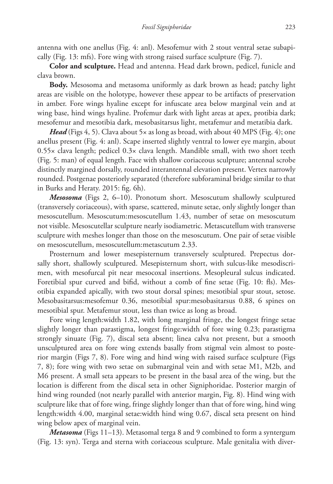antenna with one anellus (Fig. 4: anl). Mesofemur with 2 stout ventral setae subapically (Fig. 13: mfs). Fore wing with strong raised surface sculpture (Fig. 7).

**Color and sculpture.** Head and antenna. Head dark brown, pedicel, funicle and clava brown.

**Body.** Mesosoma and metasoma uniformly as dark brown as head; patchy light areas are visible on the holotype, however these appear to be artifacts of preservation in amber. Fore wings hyaline except for infuscate area below marginal vein and at wing base, hind wings hyaline. Profemur dark with light areas at apex, protibia dark; mesofemur and mesotibia dark, mesobasitarsus light, metafemur and metatibia dark.

*Head* (Figs 4, 5). Clava about 5x as long as broad, with about 40 MPS (Fig. 4); one anellus present (Fig. 4: anl). Scape inserted slightly ventral to lower eye margin, about  $0.55\times$  clava length; pedicel  $0.3\times$  clava length. Mandible small, with two short teeth (Fig. 5: man) of equal length. Face with shallow coriaceous sculpture; antennal scrobe distinctly margined dorsally, rounded interantennal elevation present. Vertex narrowly rounded. Postgenae posteriorly separated (therefore subforaminal bridge similar to that in Burks and Heraty. 2015: fig. 6h).

*Mesosoma* (Figs 2, 6–10). Pronotum short. Mesoscutum shallowly sculptured (transversely coriaceous), with sparse, scattered, minute setae, only slightly longer than mesoscutellum. Mesoscutum:mesoscutellum 1.43, number of setae on mesoscutum not visible. Mesoscutellar sculpture nearly isodiametric. Metascutellum with transverse sculpture with meshes longer than those on the mesoscutum. One pair of setae visible on mesoscutellum, mesoscutellum:metascutum 2.33.

Prosternum and lower mesepisternum transversely sculptured. Prepectus dorsally short, shallowly sculptured. Mesepisternum short, with sulcus-like mesodiscrimen, with mesofurcal pit near mesocoxal insertions. Mesopleural sulcus indicated. Foretibial spur curved and bifid, without a comb of fine setae (Fig. 10: fls). Mesotibia expanded apically, with two stout dorsal spines; mesotibial spur stout, setose. Mesobasitarsus:mesofemur 0.36, mesotibial spur:mesobasitarsus 0.88, 6 spines on mesotibial spur. Metafemur stout, less than twice as long as broad.

Fore wing length:width 1.82, with long marginal fringe, the longest fringe setae slightly longer than parastigma, longest fringe:width of fore wing 0.23; parastigma strongly sinuate (Fig. 7), discal seta absent; linea calva not present, but a smooth unsculptured area on fore wing extends basally from stigmal vein almost to posterior margin (Figs 7, 8). Fore wing and hind wing with raised surface sculpture (Figs 7, 8); fore wing with two setae on submarginal vein and with setae M1, M2b, and M6 present. A small seta appears to be present in the basal area of the wing, but the location is different from the discal seta in other Signiphoridae. Posterior margin of hind wing rounded (not nearly parallel with anterior margin, Fig. 8). Hind wing with sculpture like that of fore wing, fringe slightly longer than that of fore wing, hind wing length:width 4.00, marginal setae:width hind wing 0.67, discal seta present on hind wing below apex of marginal vein.

*Metasoma* (Figs 11–13). Metasomal terga 8 and 9 combined to form a syntergum (Fig. 13: syn). Terga and sterna with coriaceous sculpture. Male genitalia with diver-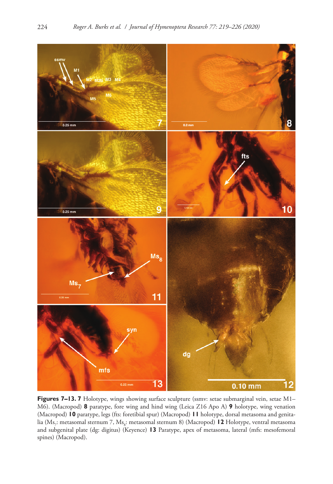

**Figures 7–13. 7** Holotype, wings showing surface sculpture (ssmv: setae submarginal vein, setae M1– M6). (Macropod) **8** paratype, fore wing and hind wing (Leica Z16 Apo A) **9** holotype, wing venation (Macropod) **10** paratype, legs (fts: foretibial spur) (Macropod) **11** holotype, dorsal metasoma and genitalia (Ms<sub>7</sub>: metasomal sternum 7, Ms<sub>8</sub>: metasomal sternum 8) (Macropod) **12** Holotype, ventral metasoma and subgenital plate (dg: digitus) (Keyence) **13** Paratype, apex of metasoma, lateral (mfs: mesofemoral spines) (Macropod).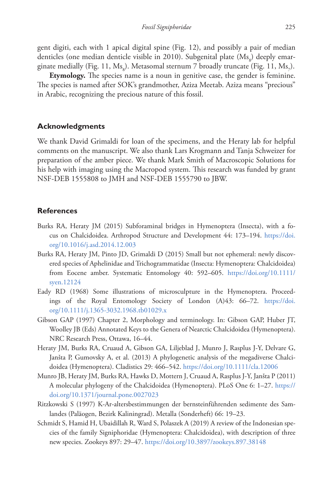gent digiti, each with 1 apical digital spine (Fig. 12), and possibly a pair of median denticles (one median denticle visible in 2010). Subgenital plate  $(Ms_{s})$  deeply emarginate medially (Fig. 11,  $\text{Ms}_8$ ). Metasomal sternum 7 broadly truncate (Fig. 11,  $\text{Ms}_7$ ).

**Etymology.** The species name is a noun in genitive case, the gender is feminine. The species is named after SOK's grandmother, Aziza Meetab. Aziza means "precious" in Arabic, recognizing the precious nature of this fossil.

#### **Acknowledgments**

We thank David Grimaldi for loan of the specimens, and the Heraty lab for helpful comments on the manuscript. We also thank Lars Krogmann and Tanja Schweizer for preparation of the amber piece. We thank Mark Smith of Macroscopic Solutions for his help with imaging using the Macropod system. This research was funded by grant NSF-DEB 1555808 to JMH and NSF-DEB 1555790 to JBW.

## **References**

- Burks RA, Heraty JM (2015) Subforaminal bridges in Hymenoptera (Insecta), with a focus on Chalcidoidea. Arthropod Structure and Development 44: 173–194. [https://doi.](https://doi.org/10.1016/j.asd.2014.12.003) [org/10.1016/j.asd.2014.12.003](https://doi.org/10.1016/j.asd.2014.12.003)
- Burks RA, Heraty JM, Pinto JD, Grimaldi D (2015) Small but not ephemeral: newly discovered species of Aphelinidae and Trichogrammatidae (Insecta: Hymenoptera: Chalcidoidea) from Eocene amber. Systematic Entomology 40: 592–605. [https://doi.org/10.1111/](https://doi.org/10.1111/syen.12124) [syen.12124](https://doi.org/10.1111/syen.12124)
- Eady RD (1968) Some illustrations of microsculpture in the Hymenoptera. Proceedings of the Royal Entomology Society of London (A)43: 66–72. [https://doi.](https://doi.org/10.1111/j.1365-3032.1968.tb01029.x) [org/10.1111/j.1365-3032.1968.tb01029.x](https://doi.org/10.1111/j.1365-3032.1968.tb01029.x)
- Gibson GAP (1997) Chapter 2, Morphology and terminology. In: Gibson GAP, Huber JT, Woolley JB (Eds) Annotated Keys to the Genera of Nearctic Chalcidoidea (Hymenoptera). NRC Research Press, Ottawa, 16–44.
- Heraty JM, Burks RA, Cruaud A, Gibson GA, Liljeblad J, Munro J, Rasplus J-Y, Delvare G, Janšta P, Gumovsky A, et al. (2013) A phylogenetic analysis of the megadiverse Chalcidoidea (Hymenoptera). Cladistics 29: 466–542.<https://doi.org/10.1111/cla.12006>
- Munro JB, Heraty JM, Burks RA, Hawks D, Mottern J, Cruaud A, Rasplus J-Y, Janšta P (2011) A molecular phylogeny of the Chalcidoidea (Hymenoptera). PLoS One 6: 1–27. [https://](https://doi.org/10.1371/journal.pone.0027023) [doi.org/10.1371/journal.pone.0027023](https://doi.org/10.1371/journal.pone.0027023)
- Ritzkowski S (1997) K-Ar-altersbestimmungen der bernsteinführenden sedimente des Samlandes (Paläogen, Bezirk Kaliningrad). Metalla (Sonderheft) 66: 19–23.
- Schmidt S, Hamid H, Ubaidillah R, Ward S, Polaszek A (2019) A review of the Indonesian species of the family Signiphoridae (Hymenoptera: Chalcidoidea), with description of three new species. Zookeys 897: 29–47. <https://doi.org/10.3897/zookeys.897.38148>